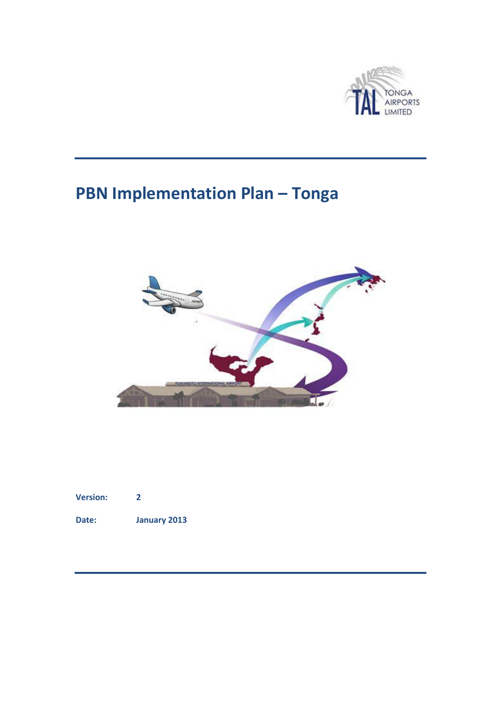

# **PBN Implementation Plan – Tonga**



| <b>Version:</b> |  |
|-----------------|--|
|                 |  |

**Date: January 2013**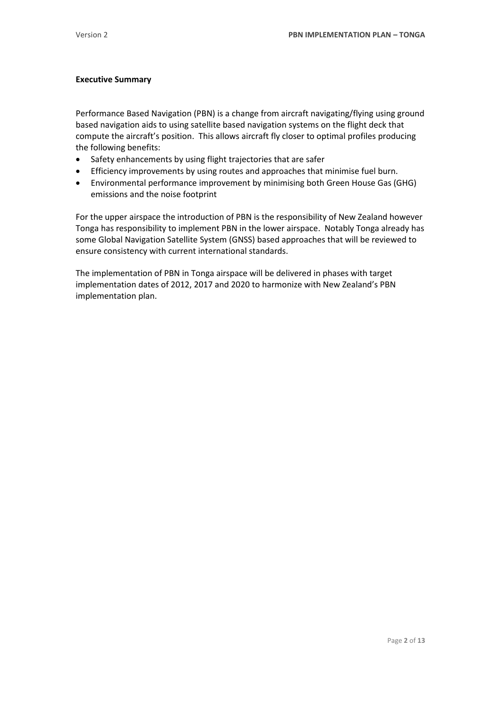#### <span id="page-1-0"></span>**Executive Summary**

Performance Based Navigation (PBN) is a change from aircraft navigating/flying using ground based navigation aids to using satellite based navigation systems on the flight deck that compute the aircraft's position. This allows aircraft fly closer to optimal profiles producing the following benefits:

- Safety enhancements by using flight trajectories that are safer
- Efficiency improvements by using routes and approaches that minimise fuel burn.
- Environmental performance improvement by minimising both Green House Gas (GHG) emissions and the noise footprint

For the upper airspace the introduction of PBN is the responsibility of New Zealand however Tonga has responsibility to implement PBN in the lower airspace. Notably Tonga already has some Global Navigation Satellite System (GNSS) based approaches that will be reviewed to ensure consistency with current international standards.

The implementation of PBN in Tonga airspace will be delivered in phases with target implementation dates of 2012, 2017 and 2020 to harmonize with New Zealand's PBN implementation plan.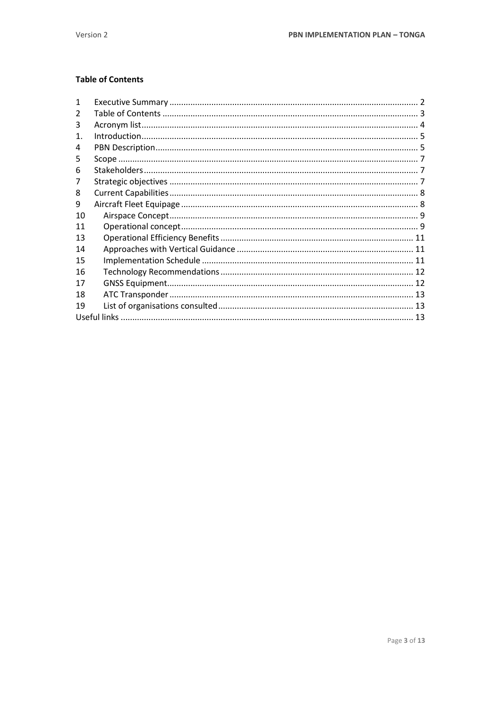## <span id="page-2-0"></span>**Table of Contents**

| 1  |  |
|----|--|
|    |  |
| 3  |  |
| 1. |  |
| 4  |  |
| 5  |  |
| 6  |  |
|    |  |
| 8  |  |
| 9  |  |
| 10 |  |
| 11 |  |
| 13 |  |
| 14 |  |
| 15 |  |
| 16 |  |
| 17 |  |
| 18 |  |
| 19 |  |
|    |  |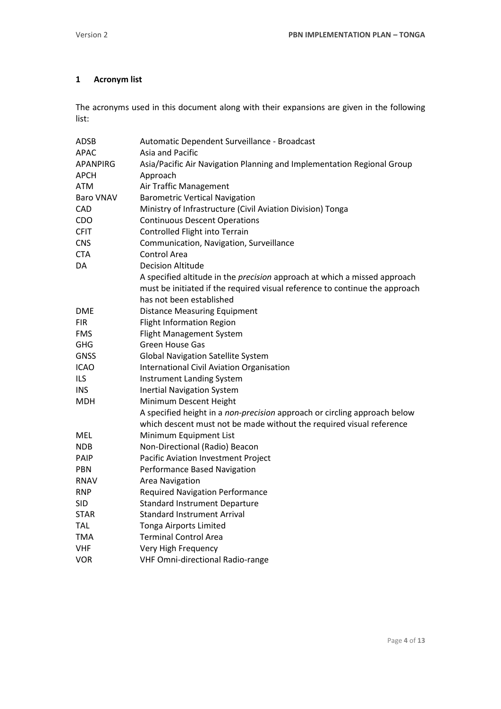## <span id="page-3-0"></span>**1 Acronym list**

The acronyms used in this document along with their expansions are given in the following list:

| <b>ADSB</b>      | Automatic Dependent Surveillance - Broadcast                                     |  |  |  |
|------------------|----------------------------------------------------------------------------------|--|--|--|
| <b>APAC</b>      | Asia and Pacific                                                                 |  |  |  |
| <b>APANPIRG</b>  | Asia/Pacific Air Navigation Planning and Implementation Regional Group           |  |  |  |
| APCH             | Approach                                                                         |  |  |  |
| <b>ATM</b>       | Air Traffic Management                                                           |  |  |  |
| <b>Baro VNAV</b> | <b>Barometric Vertical Navigation</b>                                            |  |  |  |
| CAD              | Ministry of Infrastructure (Civil Aviation Division) Tonga                       |  |  |  |
| CDO              | <b>Continuous Descent Operations</b>                                             |  |  |  |
| <b>CFIT</b>      | Controlled Flight into Terrain                                                   |  |  |  |
| <b>CNS</b>       | Communication, Navigation, Surveillance                                          |  |  |  |
| <b>CTA</b>       | <b>Control Area</b>                                                              |  |  |  |
| DA               | <b>Decision Altitude</b>                                                         |  |  |  |
|                  | A specified altitude in the <i>precision</i> approach at which a missed approach |  |  |  |
|                  | must be initiated if the required visual reference to continue the approach      |  |  |  |
|                  | has not been established                                                         |  |  |  |
| <b>DME</b>       | <b>Distance Measuring Equipment</b>                                              |  |  |  |
| <b>FIR</b>       | <b>Flight Information Region</b>                                                 |  |  |  |
| <b>FMS</b>       | Flight Management System                                                         |  |  |  |
| <b>GHG</b>       | <b>Green House Gas</b>                                                           |  |  |  |
| <b>GNSS</b>      | <b>Global Navigation Satellite System</b>                                        |  |  |  |
| <b>ICAO</b>      | <b>International Civil Aviation Organisation</b>                                 |  |  |  |
| <b>ILS</b>       | <b>Instrument Landing System</b>                                                 |  |  |  |
| <b>INS</b>       | <b>Inertial Navigation System</b>                                                |  |  |  |
| <b>MDH</b>       | Minimum Descent Height                                                           |  |  |  |
|                  | A specified height in a non-precision approach or circling approach below        |  |  |  |
|                  | which descent must not be made without the required visual reference             |  |  |  |
| MEL              | Minimum Equipment List                                                           |  |  |  |
| <b>NDB</b>       | Non-Directional (Radio) Beacon                                                   |  |  |  |
| PAIP             | Pacific Aviation Investment Project                                              |  |  |  |
| PBN              | Performance Based Navigation                                                     |  |  |  |
| <b>RNAV</b>      | <b>Area Navigation</b>                                                           |  |  |  |
| <b>RNP</b>       | <b>Required Navigation Performance</b>                                           |  |  |  |
| <b>SID</b>       | <b>Standard Instrument Departure</b>                                             |  |  |  |
| <b>STAR</b>      | <b>Standard Instrument Arrival</b>                                               |  |  |  |
| TAL              | <b>Tonga Airports Limited</b>                                                    |  |  |  |
| <b>TMA</b>       | <b>Terminal Control Area</b>                                                     |  |  |  |
| VHF              | Very High Frequency                                                              |  |  |  |
| VOR              | <b>VHF Omni-directional Radio-range</b>                                          |  |  |  |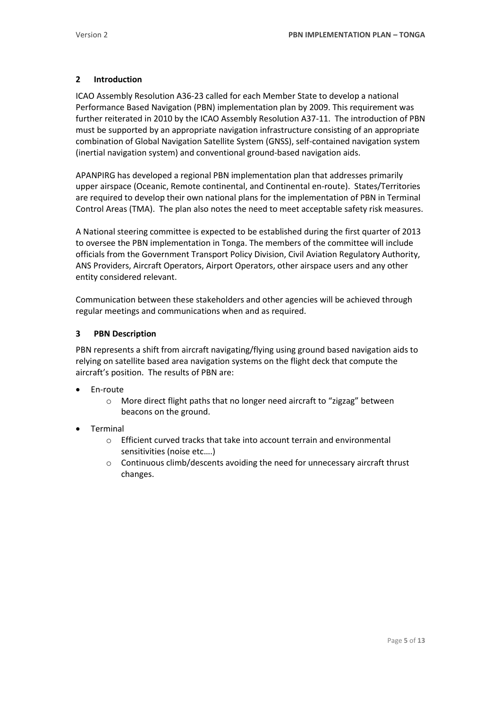#### <span id="page-4-0"></span>**2 Introduction**

ICAO Assembly Resolution A36-23 called for each Member State to develop a national Performance Based Navigation (PBN) implementation plan by 2009. This requirement was further reiterated in 2010 by the ICAO Assembly Resolution A37-11. The introduction of PBN must be supported by an appropriate navigation infrastructure consisting of an appropriate combination of Global Navigation Satellite System (GNSS), self-contained navigation system (inertial navigation system) and conventional ground-based navigation aids.

APANPIRG has developed a regional PBN implementation plan that addresses primarily upper airspace (Oceanic, Remote continental, and Continental en-route). States/Territories are required to develop their own national plans for the implementation of PBN in Terminal Control Areas (TMA). The plan also notes the need to meet acceptable safety risk measures.

A National steering committee is expected to be established during the first quarter of 2013 to oversee the PBN implementation in Tonga. The members of the committee will include officials from the Government Transport Policy Division, Civil Aviation Regulatory Authority, ANS Providers, Aircraft Operators, Airport Operators, other airspace users and any other entity considered relevant.

Communication between these stakeholders and other agencies will be achieved through regular meetings and communications when and as required.

#### <span id="page-4-1"></span>**3 PBN Description**

PBN represents a shift from aircraft navigating/flying using ground based navigation aids to relying on satellite based area navigation systems on the flight deck that compute the aircraft's position. The results of PBN are:

- En-route
	- o More direct flight paths that no longer need aircraft to "zigzag" between beacons on the ground.
- Terminal
	- o Efficient curved tracks that take into account terrain and environmental sensitivities (noise etc….)
	- o Continuous climb/descents avoiding the need for unnecessary aircraft thrust changes.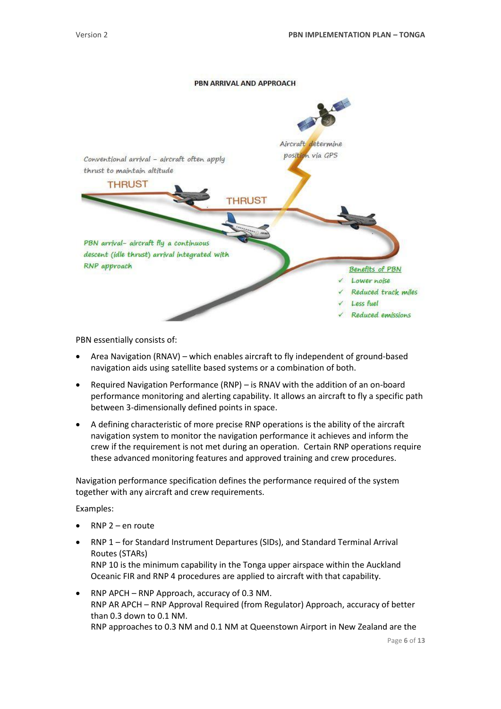#### PBN ARRIVAL AND APPROACH



PBN essentially consists of:

- Area Navigation (RNAV) which enables aircraft to fly independent of ground-based navigation aids using satellite based systems or a combination of both.
- Required Navigation Performance (RNP) is RNAV with the addition of an on-board performance monitoring and alerting capability. It allows an aircraft to fly a specific path between 3-dimensionally defined points in space.
- A defining characteristic of more precise RNP operations is the ability of the aircraft navigation system to monitor the navigation performance it achieves and inform the crew if the requirement is not met during an operation. Certain RNP operations require these advanced monitoring features and approved training and crew procedures.

Navigation performance specification defines the performance required of the system together with any aircraft and crew requirements.

Examples:

- RNP 2 en route
- RNP 1 for Standard Instrument Departures (SIDs), and Standard Terminal Arrival Routes (STARs) RNP 10 is the minimum capability in the Tonga upper airspace within the Auckland Oceanic FIR and RNP 4 procedures are applied to aircraft with that capability.
- RNP APCH RNP Approach, accuracy of 0.3 NM. RNP AR APCH – RNP Approval Required (from Regulator) Approach, accuracy of better than 0.3 down to 0.1 NM. RNP approaches to 0.3 NM and 0.1 NM at Queenstown Airport in New Zealand are the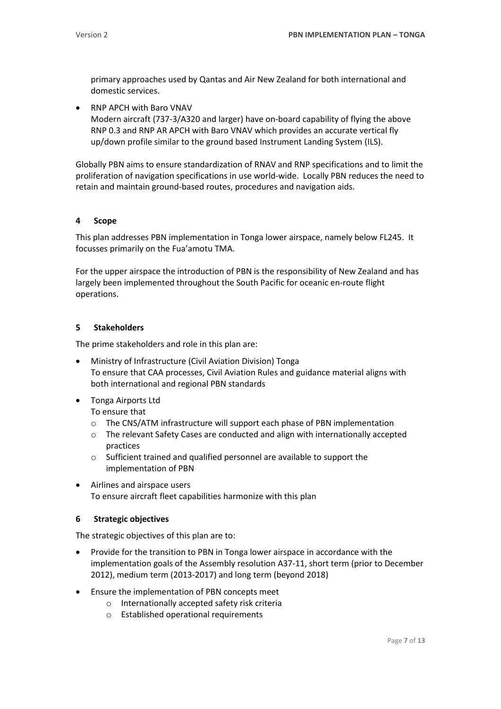primary approaches used by Qantas and Air New Zealand for both international and domestic services.

• RNP APCH with Baro VNAV Modern aircraft (737-3/A320 and larger) have on-board capability of flying the above RNP 0.3 and RNP AR APCH with Baro VNAV which provides an accurate vertical fly up/down profile similar to the ground based Instrument Landing System (ILS).

Globally PBN aims to ensure standardization of RNAV and RNP specifications and to limit the proliferation of navigation specifications in use world-wide. Locally PBN reduces the need to retain and maintain ground-based routes, procedures and navigation aids.

#### <span id="page-6-0"></span>**4 Scope**

This plan addresses PBN implementation in Tonga lower airspace, namely below FL245. It focusses primarily on the Fua'amotu TMA.

For the upper airspace the introduction of PBN is the responsibility of New Zealand and has largely been implemented throughout the South Pacific for oceanic en-route flight operations.

#### <span id="page-6-1"></span>**5 Stakeholders**

The prime stakeholders and role in this plan are:

- Ministry of Infrastructure (Civil Aviation Division) Tonga To ensure that CAA processes, Civil Aviation Rules and guidance material aligns with both international and regional PBN standards
- Tonga Airports Ltd

To ensure that

- o The CNS/ATM infrastructure will support each phase of PBN implementation
- o The relevant Safety Cases are conducted and align with internationally accepted practices
- o Sufficient trained and qualified personnel are available to support the implementation of PBN
- Airlines and airspace users To ensure aircraft fleet capabilities harmonize with this plan

#### <span id="page-6-2"></span>**6 Strategic objectives**

The strategic objectives of this plan are to:

- Provide for the transition to PBN in Tonga lower airspace in accordance with the implementation goals of the Assembly resolution A37-11, short term (prior to December 2012), medium term (2013-2017) and long term (beyond 2018)
- Ensure the implementation of PBN concepts meet
	- o Internationally accepted safety risk criteria
	- o Established operational requirements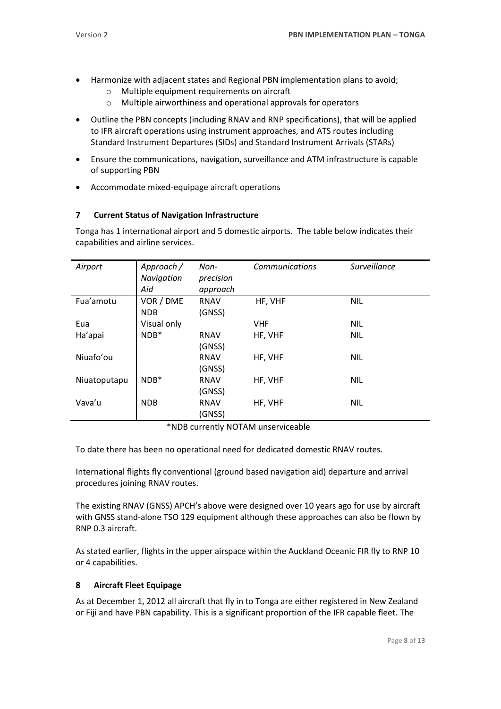- Harmonize with adjacent states and Regional PBN implementation plans to avoid;
	- o Multiple equipment requirements on aircraft
	- o Multiple airworthiness and operational approvals for operators
- Outline the PBN concepts (including RNAV and RNP specifications), that will be applied to IFR aircraft operations using instrument approaches, and ATS routes including Standard Instrument Departures (SIDs) and Standard Instrument Arrivals (STARs)
- Ensure the communications, navigation, surveillance and ATM infrastructure is capable of supporting PBN
- Accommodate mixed-equipage aircraft operations

## <span id="page-7-0"></span>**7 Current Status of Navigation Infrastructure**

Tonga has 1 international airport and 5 domestic airports. The table below indicates their capabilities and airline services.

| Airport      | Approach /  | Non-        | <b>Communications</b> | <b>Surveillance</b> |
|--------------|-------------|-------------|-----------------------|---------------------|
|              | Navigation  | precision   |                       |                     |
|              | Aid         | approach    |                       |                     |
| Fua'amotu    | VOR / DME   | <b>RNAV</b> | HF, VHF               | <b>NIL</b>          |
|              | <b>NDB</b>  | (GNSS)      |                       |                     |
| Eua          | Visual only |             | <b>VHF</b>            | <b>NIL</b>          |
| Ha'apai      | $NDB*$      | <b>RNAV</b> | HF, VHF               | <b>NIL</b>          |
|              |             | (GNSS)      |                       |                     |
| Niuafo'ou    |             | <b>RNAV</b> | HF, VHF               | <b>NIL</b>          |
|              |             | (GNSS)      |                       |                     |
| Niuatoputapu | $NDB*$      | <b>RNAV</b> | HF, VHF               | <b>NIL</b>          |
|              |             | (GNSS)      |                       |                     |
| Vava'u       | <b>NDB</b>  | <b>RNAV</b> | HF, VHF               | <b>NIL</b>          |
|              |             | (GNSS)      |                       |                     |

\*NDB currently NOTAM unserviceable

To date there has been no operational need for dedicated domestic RNAV routes.

International flights fly conventional (ground based navigation aid) departure and arrival procedures joining RNAV routes.

The existing RNAV (GNSS) APCH's above were designed over 10 years ago for use by aircraft with GNSS stand-alone TSO 129 equipment although these approaches can also be flown by RNP 0.3 aircraft.

As stated earlier, flights in the upper airspace within the Auckland Oceanic FIR fly to RNP 10 or 4 capabilities.

#### <span id="page-7-1"></span>**8 Aircraft Fleet Equipage**

As at December 1, 2012 all aircraft that fly in to Tonga are either registered in New Zealand or Fiji and have PBN capability. This is a significant proportion of the IFR capable fleet. The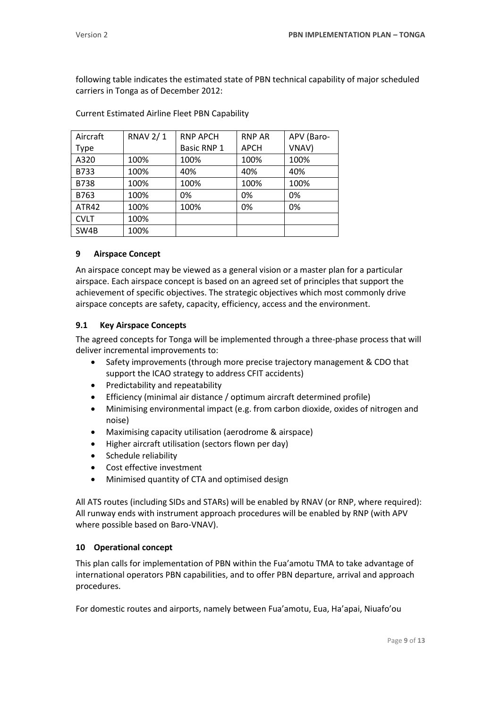following table indicates the estimated state of PBN technical capability of major scheduled carriers in Tonga as of December 2012:

| Aircraft    | <b>RNAV 2/1</b> | <b>RNP APCH</b> | <b>RNP AR</b> | APV (Baro- |
|-------------|-----------------|-----------------|---------------|------------|
| <b>Type</b> |                 | Basic RNP 1     | <b>APCH</b>   | VNAV)      |
| A320        | 100%            | 100%            | 100%          | 100%       |
| <b>B733</b> | 100%            | 40%             | 40%           | 40%        |
| <b>B738</b> | 100%            | 100%            | 100%          | 100%       |
| B763        | 100%            | 0%              | 0%            | 0%         |
| ATR42       | 100%            | 100%            | 0%            | 0%         |
| <b>CVLT</b> | 100%            |                 |               |            |
| SW4B        | 100%            |                 |               |            |

Current Estimated Airline Fleet PBN Capability

## <span id="page-8-0"></span>**9 Airspace Concept**

An airspace concept may be viewed as a general vision or a master plan for a particular airspace. Each airspace concept is based on an agreed set of principles that support the achievement of specific objectives. The strategic objectives which most commonly drive airspace concepts are safety, capacity, efficiency, access and the environment.

## **9.1 Key Airspace Concepts**

The agreed concepts for Tonga will be implemented through a three-phase process that will deliver incremental improvements to:

- Safety improvements (through more precise trajectory management & CDO that support the ICAO strategy to address CFIT accidents)
- Predictability and repeatability
- Efficiency (minimal air distance / optimum aircraft determined profile)
- Minimising environmental impact (e.g. from carbon dioxide, oxides of nitrogen and noise)
- Maximising capacity utilisation (aerodrome & airspace)
- Higher aircraft utilisation (sectors flown per day)
- Schedule reliability
- Cost effective investment
- Minimised quantity of CTA and optimised design

All ATS routes (including SIDs and STARs) will be enabled by RNAV (or RNP, where required): All runway ends with instrument approach procedures will be enabled by RNP (with APV where possible based on Baro-VNAV).

## <span id="page-8-1"></span>**10 Operational concept**

This plan calls for implementation of PBN within the Fua'amotu TMA to take advantage of international operators PBN capabilities, and to offer PBN departure, arrival and approach procedures.

For domestic routes and airports, namely between Fua'amotu, Eua, Ha'apai, Niuafo'ou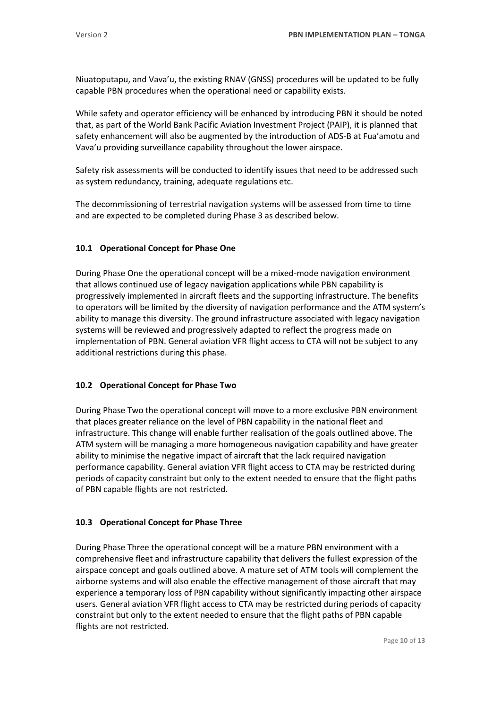Niuatoputapu, and Vava'u, the existing RNAV (GNSS) procedures will be updated to be fully capable PBN procedures when the operational need or capability exists.

While safety and operator efficiency will be enhanced by introducing PBN it should be noted that, as part of the World Bank Pacific Aviation Investment Project (PAIP), it is planned that safety enhancement will also be augmented by the introduction of ADS-B at Fua'amotu and Vava'u providing surveillance capability throughout the lower airspace.

Safety risk assessments will be conducted to identify issues that need to be addressed such as system redundancy, training, adequate regulations etc.

The decommissioning of terrestrial navigation systems will be assessed from time to time and are expected to be completed during Phase 3 as described below.

## **10.1 Operational Concept for Phase One**

During Phase One the operational concept will be a mixed-mode navigation environment that allows continued use of legacy navigation applications while PBN capability is progressively implemented in aircraft fleets and the supporting infrastructure. The benefits to operators will be limited by the diversity of navigation performance and the ATM system's ability to manage this diversity. The ground infrastructure associated with legacy navigation systems will be reviewed and progressively adapted to reflect the progress made on implementation of PBN. General aviation VFR flight access to CTA will not be subject to any additional restrictions during this phase.

## **10.2 Operational Concept for Phase Two**

During Phase Two the operational concept will move to a more exclusive PBN environment that places greater reliance on the level of PBN capability in the national fleet and infrastructure. This change will enable further realisation of the goals outlined above. The ATM system will be managing a more homogeneous navigation capability and have greater ability to minimise the negative impact of aircraft that the lack required navigation performance capability. General aviation VFR flight access to CTA may be restricted during periods of capacity constraint but only to the extent needed to ensure that the flight paths of PBN capable flights are not restricted.

## **10.3 Operational Concept for Phase Three**

During Phase Three the operational concept will be a mature PBN environment with a comprehensive fleet and infrastructure capability that delivers the fullest expression of the airspace concept and goals outlined above. A mature set of ATM tools will complement the airborne systems and will also enable the effective management of those aircraft that may experience a temporary loss of PBN capability without significantly impacting other airspace users. General aviation VFR flight access to CTA may be restricted during periods of capacity constraint but only to the extent needed to ensure that the flight paths of PBN capable flights are not restricted.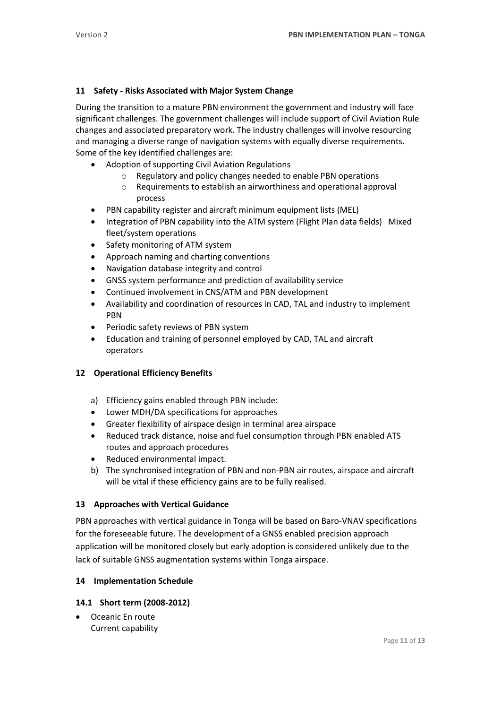## **11 Safety - Risks Associated with Major System Change**

During the transition to a mature PBN environment the government and industry will face significant challenges. The government challenges will include support of Civil Aviation Rule changes and associated preparatory work. The industry challenges will involve resourcing and managing a diverse range of navigation systems with equally diverse requirements. Some of the key identified challenges are:

- Adoption of supporting Civil Aviation Regulations
	- o Regulatory and policy changes needed to enable PBN operations
	- o Requirements to establish an airworthiness and operational approval process
- PBN capability register and aircraft minimum equipment lists (MEL)
- Integration of PBN capability into the ATM system (Flight Plan data fields) Mixed fleet/system operations
- Safety monitoring of ATM system
- Approach naming and charting conventions
- Navigation database integrity and control
- GNSS system performance and prediction of availability service
- Continued involvement in CNS/ATM and PBN development
- Availability and coordination of resources in CAD, TAL and industry to implement PBN
- Periodic safety reviews of PBN system
- Education and training of personnel employed by CAD, TAL and aircraft operators

## <span id="page-10-0"></span>**12 Operational Efficiency Benefits**

- a) Efficiency gains enabled through PBN include:
- Lower MDH/DA specifications for approaches
- Greater flexibility of airspace design in terminal area airspace
- Reduced track distance, noise and fuel consumption through PBN enabled ATS routes and approach procedures
- Reduced environmental impact.
- b) The synchronised integration of PBN and non-PBN air routes, airspace and aircraft will be vital if these efficiency gains are to be fully realised.

## <span id="page-10-1"></span>**13 Approaches with Vertical Guidance**

PBN approaches with vertical guidance in Tonga will be based on Baro-VNAV specifications for the foreseeable future. The development of a GNSS enabled precision approach application will be monitored closely but early adoption is considered unlikely due to the lack of suitable GNSS augmentation systems within Tonga airspace.

## <span id="page-10-2"></span>**14 Implementation Schedule**

## **14.1 Short term (2008-2012)**

 Oceanic En route Current capability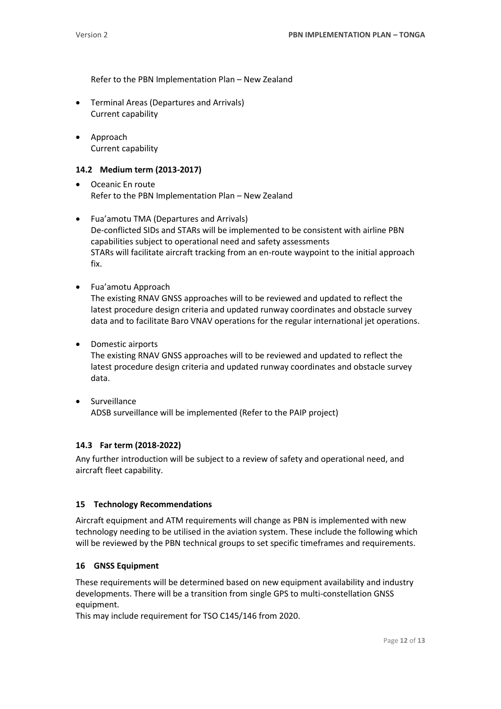Refer to the PBN Implementation Plan – New Zealand

- Terminal Areas (Departures and Arrivals) Current capability
- Approach Current capability

#### **14.2 Medium term (2013-2017)**

- Oceanic En route Refer to the PBN Implementation Plan – New Zealand
- Fua'amotu TMA (Departures and Arrivals) De-conflicted SIDs and STARs will be implemented to be consistent with airline PBN capabilities subject to operational need and safety assessments STARs will facilitate aircraft tracking from an en-route waypoint to the initial approach fix.
- Fua'amotu Approach The existing RNAV GNSS approaches will to be reviewed and updated to reflect the latest procedure design criteria and updated runway coordinates and obstacle survey data and to facilitate Baro VNAV operations for the regular international jet operations.
- Domestic airports

The existing RNAV GNSS approaches will to be reviewed and updated to reflect the latest procedure design criteria and updated runway coordinates and obstacle survey data.

 Surveillance ADSB surveillance will be implemented (Refer to the PAIP project)

#### **14.3 Far term (2018-2022)**

Any further introduction will be subject to a review of safety and operational need, and aircraft fleet capability.

#### <span id="page-11-0"></span>**15 Technology Recommendations**

Aircraft equipment and ATM requirements will change as PBN is implemented with new technology needing to be utilised in the aviation system. These include the following which will be reviewed by the PBN technical groups to set specific timeframes and requirements.

#### <span id="page-11-1"></span>**16 GNSS Equipment**

These requirements will be determined based on new equipment availability and industry developments. There will be a transition from single GPS to multi-constellation GNSS equipment.

This may include requirement for TSO C145/146 from 2020.